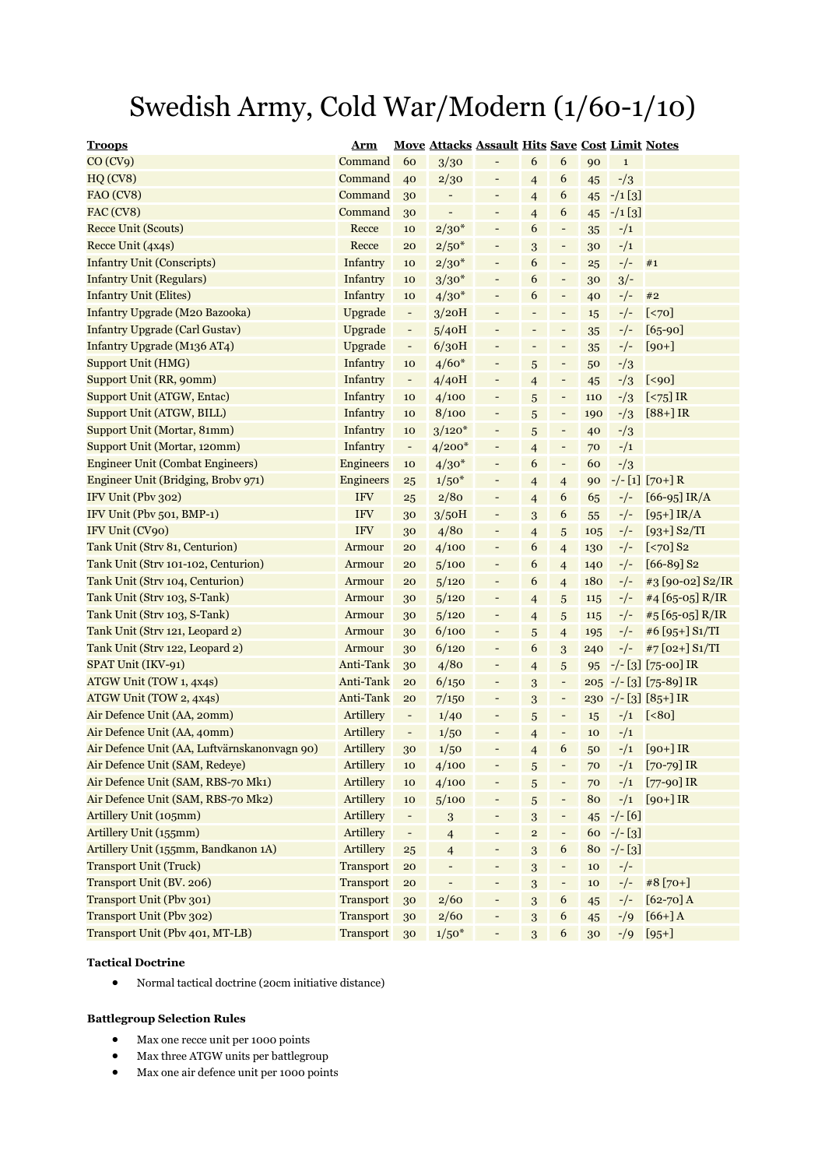# Swedish Army, Cold War/Modern (1/60-1/10)

| <u>Troops</u>                                | <u>Arm</u>       |                          | Move Attacks Assault Hits Save Cost Limit Notes |                              |                              |                          |        |             |                                    |
|----------------------------------------------|------------------|--------------------------|-------------------------------------------------|------------------------------|------------------------------|--------------------------|--------|-------------|------------------------------------|
| CO (CV9)                                     | Command          | 60                       | 3/30                                            | $\qquad \qquad \blacksquare$ | 6                            | 6                        | 90     | $\mathbf 1$ |                                    |
| HQ(CV8)                                      | Command          | 40                       | 2/30                                            | $\overline{\phantom{a}}$     | $\overline{4}$               | 6                        | 45     | $-1/3$      |                                    |
| FAO (CV8)                                    | Command          | 30                       |                                                 | $\overline{\phantom{a}}$     | $\overline{4}$               | 6                        | 45     | $- / 1 [3]$ |                                    |
| FAC (CV8)                                    | Command          | 30                       | $\qquad \qquad -$                               | $\overline{\phantom{a}}$     | $\overline{4}$               | 6                        | 45     | $-1$ [3]    |                                    |
| Recce Unit (Scouts)                          | Recce            | 10                       | $2/30*$                                         | $\overline{\phantom{a}}$     | 6                            | -                        | 35     | $-1/1$      |                                    |
| Recce Unit (4x4s)                            | Recce            | 20                       | $2/50*$                                         | $\overline{\phantom{a}}$     | 3                            | -                        | 30     | $-1/1$      |                                    |
| <b>Infantry Unit (Conscripts)</b>            | Infantry         | 10                       | $2/30*$                                         | $\overline{\phantom{a}}$     | 6                            | $\overline{\phantom{0}}$ | 25     | $-/-$       | #1                                 |
| <b>Infantry Unit (Regulars)</b>              | Infantry         | 10                       | $3/30*$                                         | $\overline{\phantom{a}}$     | 6                            | $\overline{\phantom{0}}$ | 30     | $3/-$       |                                    |
| <b>Infantry Unit (Elites)</b>                | Infantry         | 10                       | $4/30*$                                         | $\overline{\phantom{a}}$     | 6                            | $\overline{\phantom{0}}$ | 40     | $-/-$       | #2                                 |
| Infantry Upgrade (M20 Bazooka)               | Upgrade          | $\overline{\phantom{a}}$ | 3/20H                                           | $\overline{\phantom{a}}$     | $\qquad \qquad \blacksquare$ | -                        | 15     | $-/-$       | $[70]$                             |
| <b>Infantry Upgrade (Carl Gustav)</b>        | Upgrade          | $\overline{\phantom{a}}$ | 5/40H                                           | $\overline{\phantom{a}}$     | $\qquad \qquad \blacksquare$ | $\overline{\phantom{0}}$ | 35     | $-/-$       | $[65-90]$                          |
| Infantry Upgrade (M136 AT4)                  | Upgrade          | $\overline{\phantom{a}}$ | $6/3$ OH                                        | $\overline{\phantom{a}}$     | $\qquad \qquad \blacksquare$ | -                        | 35     | $-/-$       | $[90+]$                            |
| <b>Support Unit (HMG)</b>                    | Infantry         | 10                       | $4/60*$                                         | $\qquad \qquad \blacksquare$ | 5                            | -                        | 50     | $-1/3$      |                                    |
| Support Unit (RR, 90mm)                      | Infantry         | $\overline{\phantom{a}}$ | 4/40H                                           | $\overline{\phantom{a}}$     | $\overline{4}$               | $\overline{\phantom{0}}$ | 45     | $-1/3$      | $[<0]$                             |
| Support Unit (ATGW, Entac)                   | Infantry         | 10                       | 4/100                                           | $\qquad \qquad -$            | 5                            | $\overline{\phantom{0}}$ | 110    | $-1/3$      | $\left[ 75 \right]$ IR             |
| Support Unit (ATGW, BILL)                    | Infantry         | 10                       | 8/100                                           | $\overline{\phantom{a}}$     | 5                            | -                        | 190    | $-1/3$      | $[88+]$ IR                         |
| Support Unit (Mortar, 81mm)                  | Infantry         | 10                       | $3/120*$                                        | $\overline{\phantom{a}}$     | 5                            | -                        | 40     | $-1/3$      |                                    |
| Support Unit (Mortar, 120mm)                 | Infantry         | $\blacksquare$           | $4/200*$                                        | $\overline{\phantom{a}}$     | $\overline{4}$               | -                        | 70     | $^{-/1}$    |                                    |
| <b>Engineer Unit (Combat Engineers)</b>      | <b>Engineers</b> | 10                       | $4/30*$                                         | $\overline{\phantom{a}}$     | 6                            | $\overline{\phantom{0}}$ | 60     | $-1/3$      |                                    |
| Engineer Unit (Bridging, Brobv 971)          | <b>Engineers</b> | 25                       | $1/50*$                                         | $\overline{\phantom{a}}$     | $\overline{4}$               | $\overline{4}$           | 90     |             | $-/- [1]$ [70+] R                  |
| IFV Unit (Pbv 302)                           | <b>IFV</b>       | 25                       | 2/80                                            | $\qquad \qquad -$            | $\overline{4}$               | 6                        | 65     | $-/-$       | $[66-95]$ IR/A                     |
| IFV Unit (Pbv 501, BMP-1)                    | <b>IFV</b>       | 30                       | $3/5$ OH                                        | $\overline{\phantom{a}}$     | 3                            | 6                        | 55     | $-/-$       | $[95+]$ IR/A                       |
| IFV Unit (CV90)                              | <b>IFV</b>       | 30                       | 4/80                                            | $\overline{\phantom{a}}$     | $\overline{4}$               | 5                        | 105    | $-/-$       | $[93+]$ S2/TI                      |
| Tank Unit (Strv 81, Centurion)               | Armour           | 20                       | 4/100                                           | $\overline{\phantom{a}}$     | 6                            | $\overline{4}$           | 130    | $-/-$       | $\left[ 70 \right]$ S <sub>2</sub> |
| Tank Unit (Strv 101-102, Centurion)          | Armour           | 20                       | 5/100                                           | $\overline{\phantom{a}}$     | 6                            | $\overline{4}$           | 140    | $-/-$       | $[66-89]$ S <sub>2</sub>           |
| Tank Unit (Strv 104, Centurion)              | Armour           | 20                       | 5/120                                           | $\qquad \qquad \blacksquare$ | 6                            | $\overline{4}$           | 180    | $-/-$       | #3 [90-02] S2/IR                   |
| Tank Unit (Strv 103, S-Tank)                 | Armour           | 30                       | 5/120                                           | $\overline{\phantom{a}}$     | $\overline{4}$               | 5                        | 115    | $-/-$       | #4 $[65-05]$ R/IR                  |
| Tank Unit (Strv 103, S-Tank)                 | Armour           | 30                       | 5/120                                           | $\overline{\phantom{a}}$     | $\overline{4}$               | 5                        | 115    | $-/-$       | $#5[65-05] R/IR$                   |
| Tank Unit (Strv 121, Leopard 2)              | Armour           | 30                       | 6/100                                           | $\overline{\phantom{a}}$     | 5                            | $\overline{4}$           | 195    | $-/-$       | #6 [95+] S1/TI                     |
| Tank Unit (Strv 122, Leopard 2)              | Armour           | 30                       | 6/120                                           | $\overline{\phantom{a}}$     | 6                            | 3                        | 240    | $-/-$       | #7 [02+] S1/TI                     |
| SPAT Unit (IKV-91)                           | Anti-Tank        | 30                       | 4/80                                            | $\overline{\phantom{a}}$     | $\overline{4}$               | 5                        | 95     |             | $-/-$ [3] [75-00] IR               |
| ATGW Unit (TOW 1, 4x4s)                      | Anti-Tank        | 20                       | 6/150                                           | $\overline{\phantom{a}}$     | 3                            | -                        | 205    |             | $-/-$ [3] [75-89] IR               |
| ATGW Unit (TOW 2, 4x4s)                      | Anti-Tank        | 20                       | 7/150                                           | $\overline{\phantom{a}}$     | 3                            | $\overline{\phantom{0}}$ |        |             | 230 $-/-$ [3] [85+] IR             |
| Air Defence Unit (AA, 20mm)                  | Artillery        | $\overline{\phantom{a}}$ | 1/40                                            | ÷                            | 5                            | -                        | 15     |             | $- / 1$ [<80]                      |
| Air Defence Unit (AA, 40mm)                  | Artillery        | $\overline{\phantom{a}}$ | 1/50                                            | ÷                            | $\overline{\mathcal{L}}$     | -                        | 10     | $^{-/1}$    |                                    |
| Air Defence Unit (AA, Luftvärnskanonvagn 90) | Artillery        | 30                       | 1/50                                            | $\overline{a}$               | $\overline{4}$               | 6                        | 50     | $-1/1$      | $[90+]$ IR                         |
| Air Defence Unit (SAM, Redeye)               | Artillery        | 10                       | 4/100                                           |                              | 5                            |                          | 70     | $-1/1$      | $[70-79]$ IR                       |
| Air Defence Unit (SAM, RBS-70 Mk1)           | Artillery        | 10                       | 4/100                                           |                              | 5                            |                          | 70     | $^{-/1}$    | $[77-90]$ IR                       |
| Air Defence Unit (SAM, RBS-70 Mk2)           | Artillery        | 10                       | 5/100                                           | -                            | 5                            | -                        | 80     | $-1/1$      | $[90+]$ IR                         |
| Artillery Unit (105mm)                       | Artillery        | $\overline{\phantom{a}}$ | 3                                               | -                            | 3                            | -                        | 45     | $-/- [6]$   |                                    |
| Artillery Unit (155mm)                       | Artillery        | $\overline{\phantom{a}}$ | $\overline{4}$                                  | $\overline{\phantom{a}}$     | $\overline{\mathbf{c}}$      | -                        | 60     | $-/-$ [3]   |                                    |
| Artillery Unit (155mm, Bandkanon 1A)         | Artillery        | 25                       | $\overline{4}$                                  | -                            | 3                            | 6                        | 80     | $-/-$ [3]   |                                    |
| <b>Transport Unit (Truck)</b>                | Transport        | 20                       |                                                 | $\overline{\phantom{a}}$     | 3                            | -                        | 10     | $-/-$       |                                    |
| Transport Unit (BV. 206)                     | Transport        | 20                       |                                                 | $\overline{\phantom{a}}$     | 3                            | -                        | 10     | $-/-$       | #8 [70+]                           |
| Transport Unit (Pbv 301)                     | Transport        | 30                       | 2/60                                            | -                            | 3                            | $\boldsymbol{6}$         | 45     | $-/-$       | $[62-70]$ A                        |
| Transport Unit (Pbv 302)                     | Transport        | 30                       | 2/60                                            | -                            | 3                            | $\boldsymbol{6}$         | 45     | $-19$       | $[66+] A$                          |
| Transport Unit (Pbv 401, MT-LB)              | Transport        | 30                       | $1/50*$                                         | $\overline{\phantom{a}}$     | 3                            | 6                        | $30\,$ | $-19$       | $[95+]$                            |

#### Tactical Doctrine

• Normal tactical doctrine (20cm initiative distance)

#### Battlegroup Selection Rules

- Max one recce unit per 1000 points
- Max three ATGW units per battlegroup
- Max one air defence unit per 1000 points